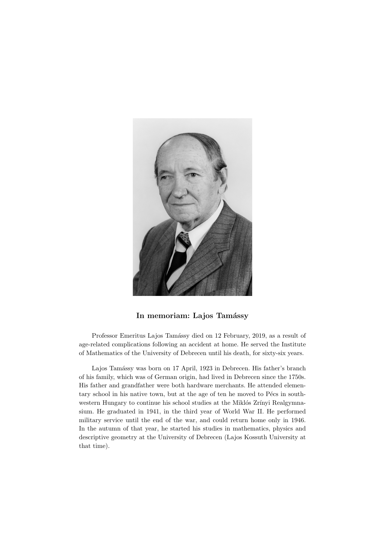

## In memoriam: Lajos Tamássy

Professor Emeritus Lajos Tamássy died on 12 February, 2019, as a result of age-related complications following an accident at home. He served the Institute of Mathematics of the University of Debrecen until his death, for sixty-six years.

Lajos Tamássy was born on 17 April, 1923 in Debrecen. His father's branch of his family, which was of German origin, had lived in Debrecen since the 1750s. His father and grandfather were both hardware merchants. He attended elementary school in his native town, but at the age of ten he moved to Pécs in southwestern Hungary to continue his school studies at the Miklós Zrínyi Realgymnasium. He graduated in 1941, in the third year of World War II. He performed military service until the end of the war, and could return home only in 1946. In the autumn of that year, he started his studies in mathematics, physics and descriptive geometry at the University of Debrecen (Lajos Kossuth University at that time).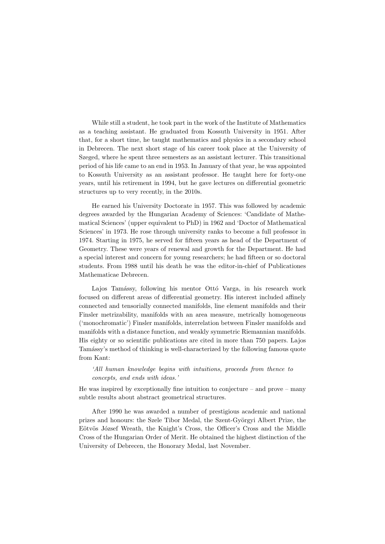While still a student, he took part in the work of the Institute of Mathematics as a teaching assistant. He graduated from Kossuth University in 1951. After that, for a short time, he taught mathematics and physics in a secondary school in Debrecen. The next short stage of his career took place at the University of Szeged, where he spent three semesters as an assistant lecturer. This transitional period of his life came to an end in 1953. In January of that year, he was appointed to Kossuth University as an assistant professor. He taught here for forty-one years, until his retirement in 1994, but he gave lectures on differential geometric structures up to very recently, in the 2010s.

He earned his University Doctorate in 1957. This was followed by academic degrees awarded by the Hungarian Academy of Sciences: 'Candidate of Mathematical Sciences' (upper equivalent to PhD) in 1962 and 'Doctor of Mathematical Sciences' in 1973. He rose through university ranks to become a full professor in 1974. Starting in 1975, he served for fifteen years as head of the Department of Geometry. These were years of renewal and growth for the Department. He had a special interest and concern for young researchers; he had fifteen or so doctoral students. From 1988 until his death he was the editor-in-chief of Publicationes Mathematicae Debrecen.

Lajos Tamássy, following his mentor Ottó Varga, in his research work focused on different areas of differential geometry. His interest included affinely connected and tensorially connected manifolds, line element manifolds and their Finsler metrizability, manifolds with an area measure, metrically homogeneous ('monochromatic') Finsler manifolds, interrelation between Finsler manifolds and manifolds with a distance function, and weakly symmetric Riemannian manifolds. His eighty or so scientific publications are cited in more than 750 papers. Lajos Tamássy's method of thinking is well-characterized by the following famous quote from Kant:

'All human knowledge begins with intuitions, proceeds from thence to concepts, and ends with ideas.'

He was inspired by exceptionally fine intuition to conjecture – and prove – many subtle results about abstract geometrical structures.

After 1990 he was awarded a number of prestigious academic and national prizes and honours: the Szele Tibor Medal, the Szent-Györgyi Albert Prize, the Eötvös József Wreath, the Knight's Cross, the Officer's Cross and the Middle Cross of the Hungarian Order of Merit. He obtained the highest distinction of the University of Debrecen, the Honorary Medal, last November.